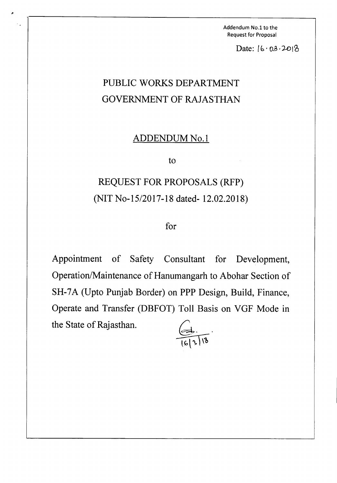Addendum No.1 to the Request for Proposal

Date:  $[6.03.20]$ 

## PUBLIC WORKS DEPARTMENT GOVERNMENT OF RAJASTHAN

,.

## ADDENDUM No.1

to

## REQUEST FOR PROPOSALS (RFP) (NIT No-15/2017-18 dated- 12.02.2018)

## for

Appointment of Safety Consultant for Development, Operation/Maintenance of Hanumangarh to Abohar Section of SH-7A (Upto Punjab Border) on PPP Design, Build, Finance, Operate and Transfer (DBFOT) Toll Basis on VGF Mode in the State of Rajasthan.

 $\bigoplus$  .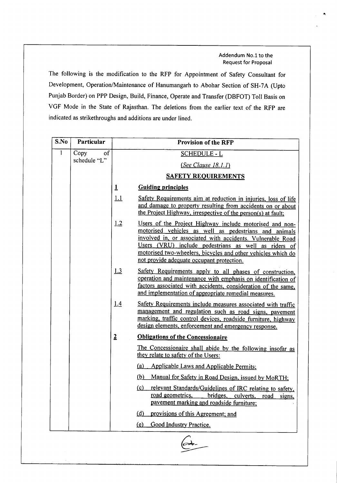Addendum No.1 to the Request for Proposal

The following is the modification to the RFP for Appointment of Safety Consultant for Development, Operation/Maintenance of Hanumangarh to Abohar Section of SH-7A (Upto Punjab Border) on PPP Design, Build, Finance, Operate and Transfer (DBFOT) Toll Basis on VGF Mode in the State of Rajasthan. The deletions from the earlier text of the RFP are indicated as strikethroughs and additions are under lined.

| S.No           | Particular                 | <b>Provision of the RFP</b>                                                                                                                                                                                                                                                                                                                                |
|----------------|----------------------------|------------------------------------------------------------------------------------------------------------------------------------------------------------------------------------------------------------------------------------------------------------------------------------------------------------------------------------------------------------|
| $\overline{1}$ | Copy<br>of<br>schedule "L" | <b>SCHEDULE - L</b>                                                                                                                                                                                                                                                                                                                                        |
|                |                            | (See <i>Clause 18.1.1</i> )                                                                                                                                                                                                                                                                                                                                |
|                |                            | <b>SAFETY REQUIREMENTS</b>                                                                                                                                                                                                                                                                                                                                 |
|                |                            | $\mathbf{1}$<br><b>Guiding principles</b>                                                                                                                                                                                                                                                                                                                  |
|                |                            | 1.1<br>Safety Requirements aim at reduction in injuries, loss of life<br>and damage to property resulting from accidents on or about<br>the Project Highway, irrespective of the person(s) at fault;                                                                                                                                                       |
|                |                            | 1.2<br>Users of the Project Highway include motorised and non-<br>motorised vehicles as well as pedestrians and animals<br>involved in, or associated with accidents. Vulnerable Road<br>Users (VRU) include pedestrians as well as riders of<br>motorised two-wheelers, bicycles and other vehicles which do<br>not provide adequate occupant protection. |
|                |                            | <u>1.3</u><br>Safety Requirements apply to all phases of construction,<br>operation and maintenance with emphasis on identification of<br>factors associated with accidents, consideration of the same,<br>and implementation of appropriate remedial measures.                                                                                            |
|                |                            | 1.4<br>Safety Requirements include measures associated with traffic<br>management and regulation such as road signs, pavement<br>marking, traffic control devices, roadside furniture, highway<br>design elements, enforcement and emergency response.                                                                                                     |
|                |                            | $\overline{2}$<br><b>Obligations of the Concessionaire</b>                                                                                                                                                                                                                                                                                                 |
|                |                            | The Concessionaire shall abide by the following insofar as<br>they relate to safety of the Users:                                                                                                                                                                                                                                                          |
|                |                            | (a)<br><b>Applicable Laws and Applicable Permits;</b>                                                                                                                                                                                                                                                                                                      |
|                |                            | (b) Manual for Safety in Road Design, issued by MoRTH;                                                                                                                                                                                                                                                                                                     |
|                |                            | (c)<br>relevant Standards/Guidelines of IRC relating to safety,<br>road geometrics, bridges, culverts, road signs,<br>pavement marking and roadside furniture;                                                                                                                                                                                             |
|                |                            | (d) provisions of this Agreement; and                                                                                                                                                                                                                                                                                                                      |
|                |                            | (e) Good Industry Practice.                                                                                                                                                                                                                                                                                                                                |
|                |                            |                                                                                                                                                                                                                                                                                                                                                            |

A.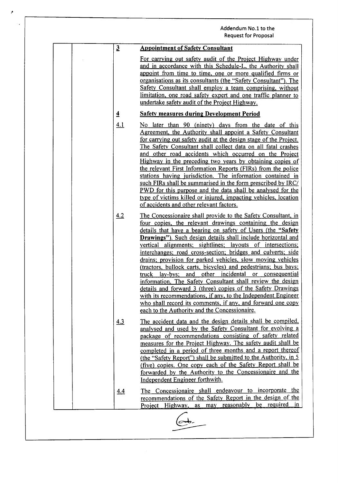|                | Addendum No.1 to the<br><b>Request for Proposal</b>                                                                                                                                                                                                                                                                                                                                                                                                                                                                                                                                                                                                                                                                                                                                                                                                                                           |
|----------------|-----------------------------------------------------------------------------------------------------------------------------------------------------------------------------------------------------------------------------------------------------------------------------------------------------------------------------------------------------------------------------------------------------------------------------------------------------------------------------------------------------------------------------------------------------------------------------------------------------------------------------------------------------------------------------------------------------------------------------------------------------------------------------------------------------------------------------------------------------------------------------------------------|
| $\mathbf{3}$   | <b>Appointment of Safety Consultant</b>                                                                                                                                                                                                                                                                                                                                                                                                                                                                                                                                                                                                                                                                                                                                                                                                                                                       |
|                | For carrying out safety audit of the Project Highway under<br>and in accordance with this Schedule-L, the Authority shall<br>appoint from time to time, one or more qualified firms or<br>organisations as its consultants (the "Safety Consultant"). The<br>Safety Consultant shall employ a team comprising, without<br>limitation, one road safety expert and one traffic planner to<br>undertake safety audit of the Project Highway.                                                                                                                                                                                                                                                                                                                                                                                                                                                     |
| $\overline{4}$ | <b>Safety measures during Development Period</b>                                                                                                                                                                                                                                                                                                                                                                                                                                                                                                                                                                                                                                                                                                                                                                                                                                              |
| <u>4.1</u>     | No later than 90 (ninety) days from the date of this<br>Agreement, the Authority shall appoint a Safety Consultant<br>for carrying out safety audit at the design stage of the Project.<br>The Safety Consultant shall collect data on all fatal crashes<br>and other road accidents which occurred on the Project<br>Highway in the preceding two years by obtaining copies of<br>the relevant First Information Reports (FIRs) from the police<br>stations having jurisdiction. The information contained in<br>such FIRs shall be summarised in the form prescribed by IRC/<br>PWD for this purpose and the data shall be analysed for the<br>type of victims killed or injured, impacting vehicles, location<br>of accidents and other relevant factors.                                                                                                                                  |
| 4.2            | The Concessionaire shall provide to the Safety Consultant, in<br>four copies, the relevant drawings containing the design<br>details that have a bearing on safety of Users (the "Safety<br>Drawings"). Such design details shall include horizontal and<br>vertical alignments; sightlines; layouts of intersections;<br>interchanges; road cross-section; bridges and culverts; side<br>drains; provision for parked vehicles, slow moving vehicles<br>(tractors, bullock carts, bicycles) and pedestrians; bus bays;<br>truck lay-bys; and other incidental or consequential<br>information. The Safety Consultant shall review the design<br>details and forward 3 (three) copies of the Safety Drawings<br>with its recommendations, if any, to the Independent Engineer<br>who shall record its comments, if any, and forward one copy<br>each to the Authority and the Concessionaire. |
| 4.3            | The accident data and the design details shall be compiled,<br>analysed and used by the Safety Consultant for evolving a<br>package of recommendations consisting of safety related<br>measures for the Project Highway. The safety audit shall be<br>completed in a period of three months and a report thereof<br>(the "Safety Report") shall be submitted to the Authority, in 5<br>(five) copies. One copy each of the Safety Report shall be<br>forwarded by the Authority to the Concessionaire and the<br>Independent Engineer forthwith.                                                                                                                                                                                                                                                                                                                                              |
| 4.4            | The Concessionaire shall endeavour to incorporate the<br>recommendations of the Safety Report in the design of the<br>Project Highway, as may reasonably be required<br>$-$ in                                                                                                                                                                                                                                                                                                                                                                                                                                                                                                                                                                                                                                                                                                                |

.'

 $\overline{a}$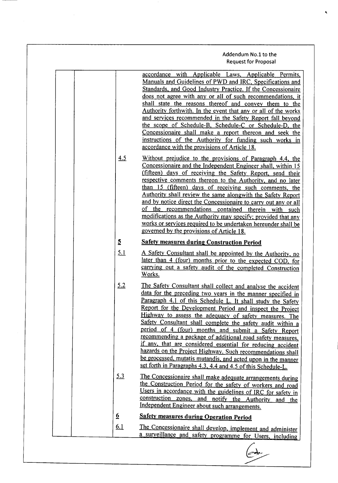Addendum No.1 to the Request for Proposal

| <u>4.5</u>     | accordance with Applicable Laws, Applicable Permits,<br>Manuals and Guidelines of PWD and IRC, Specifications and<br>Standards, and Good Industry Practice. If the Concessionaire<br>does not agree with any or all of such recommendations, it<br>shall state the reasons thereof and convey them to the<br>Authority forthwith. In the event that any or all of the works<br>and services recommended in the Safety Report fall beyond<br>the scope of Schedule-B, Schedule-C or Schedule-D, the<br>Concessionaire shall make a report thereon and seek the<br>instructions of the Authority for funding such works in<br>accordance with the provisions of Article 18.<br>Without prejudice to the provisions of Paragraph 4.4, the<br>Concessionaire and the Independent Engineer shall, within 15<br>(fifteen) days of receiving the Safety Report, send their<br>respective comments thereon to the Authority, and no later<br>than 15 (fifteen) days of receiving such comments, the<br>Authority shall review the same alongwith the Safety Report<br>and by notice direct the Concessionaire to carry out any or all<br>of the recommendations contained therein with such<br>modifications as the Authority may specify; provided that any<br>works or services required to be undertaken hereunder shall be<br>governed by the provisions of Article 18. |
|----------------|---------------------------------------------------------------------------------------------------------------------------------------------------------------------------------------------------------------------------------------------------------------------------------------------------------------------------------------------------------------------------------------------------------------------------------------------------------------------------------------------------------------------------------------------------------------------------------------------------------------------------------------------------------------------------------------------------------------------------------------------------------------------------------------------------------------------------------------------------------------------------------------------------------------------------------------------------------------------------------------------------------------------------------------------------------------------------------------------------------------------------------------------------------------------------------------------------------------------------------------------------------------------------------------------------------------------------------------------------------------------|
| $\overline{5}$ | <b>Safety measures during Construction Period</b>                                                                                                                                                                                                                                                                                                                                                                                                                                                                                                                                                                                                                                                                                                                                                                                                                                                                                                                                                                                                                                                                                                                                                                                                                                                                                                                   |
| 5.1            | A Safety Consultant shall be appointed by the Authority, no                                                                                                                                                                                                                                                                                                                                                                                                                                                                                                                                                                                                                                                                                                                                                                                                                                                                                                                                                                                                                                                                                                                                                                                                                                                                                                         |
|                | later than 4 (four) months prior to the expected COD, for<br>carrying out a safety audit of the completed Construction<br>Works.                                                                                                                                                                                                                                                                                                                                                                                                                                                                                                                                                                                                                                                                                                                                                                                                                                                                                                                                                                                                                                                                                                                                                                                                                                    |
| 5.2            | The Safety Consultant shall collect and analyse the accident<br>data for the preceding two years in the manner specified in<br>Paragraph 4.1 of this Schedule L. It shall study the Safety<br>Report for the Development Period and inspect the Project<br>Highway to assess the adequacy of safety measures. The<br>Safety Consultant shall complete the safety audit within a<br>period of 4 (four) months and submit a Safety Report<br>recommending a package of additional road safety measures,<br>if any, that are considered essential for reducing accident<br>hazards on the Project Highway. Such recommendations shall<br>be processed, mutatis mutandis, and acted upon in the manner<br>set forth in Paragraphs 4.3, 4.4 and 4.5 of this Schedule-L.                                                                                                                                                                                                                                                                                                                                                                                                                                                                                                                                                                                                  |
| 5.3            | The Concessionaire shall make adequate arrangements during<br>the Construction Period for the safety of workers and road<br>Users in accordance with the guidelines of IRC for safety in<br>construction zones, and notify the Authority<br>and the<br>Independent Engineer about such arrangements.                                                                                                                                                                                                                                                                                                                                                                                                                                                                                                                                                                                                                                                                                                                                                                                                                                                                                                                                                                                                                                                                |
| <u>6</u>       | <b>Safety measures during Operation Period</b>                                                                                                                                                                                                                                                                                                                                                                                                                                                                                                                                                                                                                                                                                                                                                                                                                                                                                                                                                                                                                                                                                                                                                                                                                                                                                                                      |
| <u>6.1</u>     | The Concessionaire shall develop, implement and administer<br>a surveillance and safety programme for Users, including                                                                                                                                                                                                                                                                                                                                                                                                                                                                                                                                                                                                                                                                                                                                                                                                                                                                                                                                                                                                                                                                                                                                                                                                                                              |
|                |                                                                                                                                                                                                                                                                                                                                                                                                                                                                                                                                                                                                                                                                                                                                                                                                                                                                                                                                                                                                                                                                                                                                                                                                                                                                                                                                                                     |